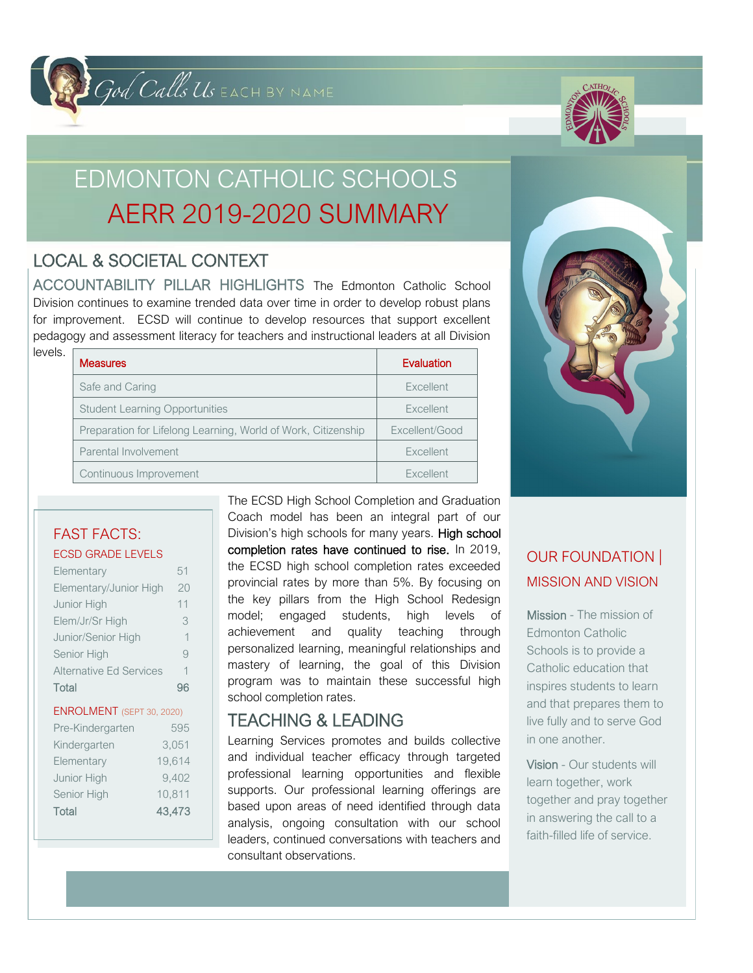# God Calls US EACH BY NAME



# EDMONTON CATHOLIC SCHOOLS AERR 2019-2020 SUMMARY

## LOCAL & SOCIETAL CONTEXT

ACCOUNTABILITY PILLAR HIGHLIGHTS The Edmonton Catholic School Division continues to examine trended data over time in order to develop robust plans for improvement. ECSD will continue to develop resources that support excellent pedagogy and assessment literacy for teachers and instructional leaders at all Division

| levels. | <b>Measures</b>                                               | Evaluation       |  |
|---------|---------------------------------------------------------------|------------------|--|
|         | Safe and Caring                                               | Excellent        |  |
|         | <b>Student Learning Opportunities</b>                         | Excellent        |  |
|         | Preparation for Lifelong Learning, World of Work, Citizenship | Excellent/Good   |  |
|         | Parental Involvement                                          | Excellent        |  |
|         | Continuous Improvement                                        | <b>Excellent</b> |  |



#### FAST FACTS: ECSD GRADE LEVELS

| LOOD ON IDL LLIED              |             |  |  |
|--------------------------------|-------------|--|--|
| Elementary                     | 51          |  |  |
| Elementary/Junior High         | 20          |  |  |
| Junior High                    | 11          |  |  |
| Elem/Jr/Sr High                | 3           |  |  |
| Junior/Senior High             | $\mathbf 1$ |  |  |
| Senior High                    | 9           |  |  |
| <b>Alternative Ed Services</b> | 1           |  |  |
| Total                          | 96          |  |  |
| ENROLMENT (SEPT 30, 2020)      |             |  |  |
| Pre-Kindergarten               | 595         |  |  |
| Kindergarten                   | 3,051       |  |  |
| Elementary                     | 19,614      |  |  |
| Junior High                    | 9,402       |  |  |
| Senior High                    | 10,811      |  |  |
| Total                          | 43.473      |  |  |

The ECSD High School Completion and Graduation Coach model has been an integral part of our Division's high schools for many years. High school completion rates have continued to rise. In 2019, the ECSD high school completion rates exceeded provincial rates by more than 5%. By focusing on the key pillars from the High School Redesign model; engaged students, high levels of achievement and quality teaching through personalized learning, meaningful relationships and mastery of learning, the goal of this Division program was to maintain these successful high school completion rates.

### TEACHING & LEADING

Learning Services promotes and builds collective and individual teacher efficacy through targeted professional learning opportunities and flexible supports. Our professional learning offerings are based upon areas of need identified through data analysis, ongoing consultation with our school leaders, continued conversations with teachers and consultant observations.

## OUR FOUNDATION | MISSION AND VISION

Mission - The mission of Edmonton Catholic Schools is to provide a Catholic education that inspires students to learn and that prepares them to live fully and to serve God in one another.

Vision - Our students will learn together, work together and pray together in answering the call to a faith-filled life of service.